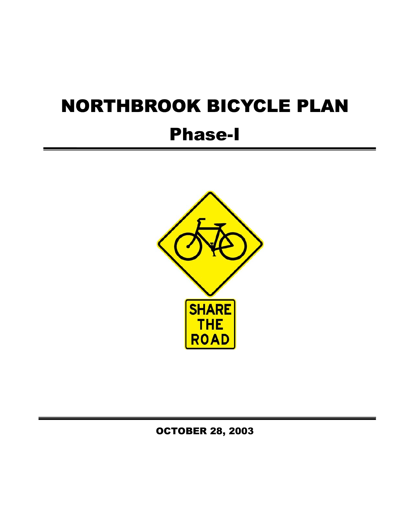# NORTHBROOK BICYCLE PLAN

## Phase-I



OCTOBER 28, 2003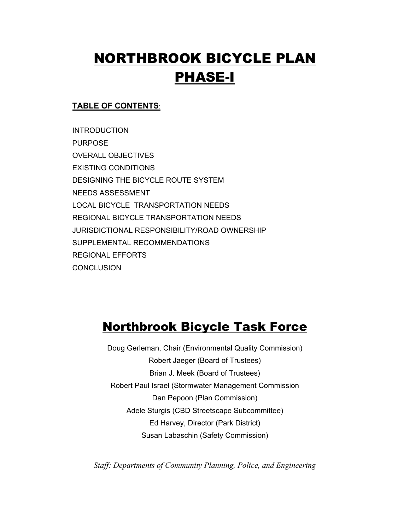## NORTHBROOK BICYCLE PLAN PHASE-I

#### **TABLE OF CONTENTS**:

**INTRODUCTION** PURPOSE OVERALL OBJECTIVES EXISTING CONDITIONS DESIGNING THE BICYCLE ROUTE SYSTEM NEEDS ASSESSMENT LOCAL BICYCLE TRANSPORTATION NEEDS REGIONAL BICYCLE TRANSPORTATION NEEDS JURISDICTIONAL RESPONSIBILITY/ROAD OWNERSHIP SUPPLEMENTAL RECOMMENDATIONS REGIONAL EFFORTS **CONCLUSION** 

### Northbrook Bicycle Task Force

Doug Gerleman, Chair (Environmental Quality Commission) Robert Jaeger (Board of Trustees) Brian J. Meek (Board of Trustees) Robert Paul Israel (Stormwater Management Commission Dan Pepoon (Plan Commission) Adele Sturgis (CBD Streetscape Subcommittee) Ed Harvey, Director (Park District) Susan Labaschin (Safety Commission)

*Staff: Departments of Community Planning, Police, and Engineering*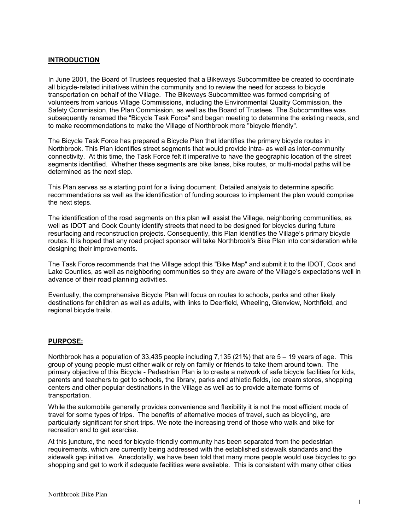#### **INTRODUCTION**

In June 2001, the Board of Trustees requested that a Bikeways Subcommittee be created to coordinate all bicycle-related initiatives within the community and to review the need for access to bicycle transportation on behalf of the Village. The Bikeways Subcommittee was formed comprising of volunteers from various Village Commissions, including the Environmental Quality Commission, the Safety Commission, the Plan Commission, as well as the Board of Trustees. The Subcommittee was subsequently renamed the "Bicycle Task Force" and began meeting to determine the existing needs, and to make recommendations to make the Village of Northbrook more "bicycle friendly".

The Bicycle Task Force has prepared a Bicycle Plan that identifies the primary bicycle routes in Northbrook. This Plan identifies street segments that would provide intra- as well as inter-community connectivity. At this time, the Task Force felt it imperative to have the geographic location of the street segments identified. Whether these segments are bike lanes, bike routes, or multi-modal paths will be determined as the next step.

This Plan serves as a starting point for a living document. Detailed analysis to determine specific recommendations as well as the identification of funding sources to implement the plan would comprise the next steps.

The identification of the road segments on this plan will assist the Village, neighboring communities, as well as IDOT and Cook County identify streets that need to be designed for bicycles during future resurfacing and reconstruction projects. Consequently, this Plan identifies the Village's primary bicycle routes. It is hoped that any road project sponsor will take Northbrook's Bike Plan into consideration while designing their improvements.

The Task Force recommends that the Village adopt this "Bike Map" and submit it to the IDOT, Cook and Lake Counties, as well as neighboring communities so they are aware of the Village's expectations well in advance of their road planning activities.

Eventually, the comprehensive Bicycle Plan will focus on routes to schools, parks and other likely destinations for children as well as adults, with links to Deerfield, Wheeling, Glenview, Northfield, and regional bicycle trails.

#### **PURPOSE:**

Northbrook has a population of 33,435 people including 7,135 (21%) that are 5 – 19 years of age. This group of young people must either walk or rely on family or friends to take them around town. The primary objective of this Bicycle - Pedestrian Plan is to create a network of safe bicycle facilities for kids, parents and teachers to get to schools, the library, parks and athletic fields, ice cream stores, shopping centers and other popular destinations in the Village as well as to provide alternate forms of transportation.

While the automobile generally provides convenience and flexibility it is not the most efficient mode of travel for some types of trips. The benefits of alternative modes of travel, such as bicycling, are particularly significant for short trips. We note the increasing trend of those who walk and bike for recreation and to get exercise.

At this juncture, the need for bicycle-friendly community has been separated from the pedestrian requirements, which are currently being addressed with the established sidewalk standards and the sidewalk gap initiative. Anecdotally, we have been told that many more people would use bicycles to go shopping and get to work if adequate facilities were available. This is consistent with many other cities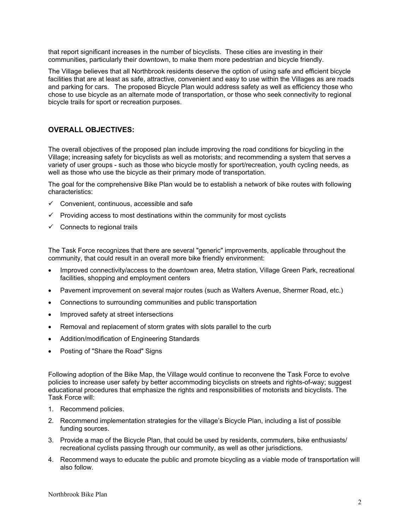that report significant increases in the number of bicyclists. These cities are investing in their communities, particularly their downtown, to make them more pedestrian and bicycle friendly.

The Village believes that all Northbrook residents deserve the option of using safe and efficient bicycle facilities that are at least as safe, attractive, convenient and easy to use within the Villages as are roads and parking for cars. The proposed Bicycle Plan would address safety as well as efficiency those who chose to use bicycle as an alternate mode of transportation, or those who seek connectivity to regional bicycle trails for sport or recreation purposes.

#### **OVERALL OBJECTIVES:**

The overall objectives of the proposed plan include improving the road conditions for bicycling in the Village; increasing safety for bicyclists as well as motorists; and recommending a system that serves a variety of user groups - such as those who bicycle mostly for sport/recreation, youth cycling needs, as well as those who use the bicycle as their primary mode of transportation.

The goal for the comprehensive Bike Plan would be to establish a network of bike routes with following characteristics:

- Convenient, continuous, accessible and safe
- 9 Providing access to most destinations within the community for most cyclists
- $\checkmark$  Connects to regional trails

The Task Force recognizes that there are several "generic" improvements, applicable throughout the community, that could result in an overall more bike friendly environment:

- Improved connectivity/access to the downtown area, Metra station, Village Green Park, recreational facilities, shopping and employment centers
- Pavement improvement on several major routes (such as Walters Avenue, Shermer Road, etc.)
- Connections to surrounding communities and public transportation
- Improved safety at street intersections
- Removal and replacement of storm grates with slots parallel to the curb
- Addition/modification of Engineering Standards
- Posting of "Share the Road" Signs

Following adoption of the Bike Map, the Village would continue to reconvene the Task Force to evolve policies to increase user safety by better accommoding bicyclists on streets and rights-of-way; suggest educational procedures that emphasize the rights and responsibilities of motorists and bicyclists. The Task Force will:

- 1. Recommend policies.
- 2. Recommend implementation strategies for the village's Bicycle Plan, including a list of possible funding sources.
- 3. Provide a map of the Bicycle Plan, that could be used by residents, commuters, bike enthusiasts/ recreational cyclists passing through our community, as well as other jurisdictions.
- 4. Recommend ways to educate the public and promote bicycling as a viable mode of transportation will also follow.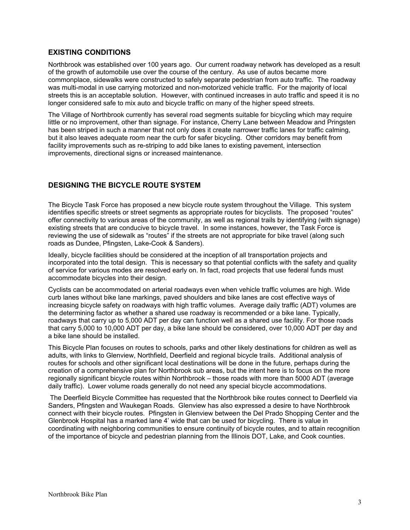#### **EXISTING CONDITIONS**

Northbrook was established over 100 years ago. Our current roadway network has developed as a result of the growth of automobile use over the course of the century. As use of autos became more commonplace, sidewalks were constructed to safely separate pedestrian from auto traffic. The roadway was multi-modal in use carrying motorized and non-motorized vehicle traffic. For the majority of local streets this is an acceptable solution. However, with continued increases in auto traffic and speed it is no longer considered safe to mix auto and bicycle traffic on many of the higher speed streets.

The Village of Northbrook currently has several road segments suitable for bicycling which may require little or no improvement, other than signage. For instance, Cherry Lane between Meadow and Pringsten has been striped in such a manner that not only does it create narrower traffic lanes for traffic calming, but it also leaves adequate room near the curb for safer bicycling. Other corridors may benefit from facility improvements such as re-striping to add bike lanes to existing pavement, intersection improvements, directional signs or increased maintenance.

#### **DESIGNING THE BICYCLE ROUTE SYSTEM**

The Bicycle Task Force has proposed a new bicycle route system throughout the Village. This system identifies specific streets or street segments as appropriate routes for bicyclists. The proposed "routes" offer connectivity to various areas of the community, as well as regional trails by identifying (with signage) existing streets that are conducive to bicycle travel. In some instances, however, the Task Force is reviewing the use of sidewalk as "routes" if the streets are not appropriate for bike travel (along such roads as Dundee, Pfingsten, Lake-Cook & Sanders).

Ideally, bicycle facilities should be considered at the inception of all transportation projects and incorporated into the total design. This is necessary so that potential conflicts with the safety and quality of service for various modes are resolved early on. In fact, road projects that use federal funds must accommodate bicycles into their design.

Cyclists can be accommodated on arterial roadways even when vehicle traffic volumes are high. Wide curb lanes without bike lane markings, paved shoulders and bike lanes are cost effective ways of increasing bicycle safety on roadways with high traffic volumes. Average daily traffic (ADT) volumes are the determining factor as whether a shared use roadway is recommended or a bike lane. Typically, roadways that carry up to 5,000 ADT per day can function well as a shared use facility. For those roads that carry 5,000 to 10,000 ADT per day, a bike lane should be considered, over 10,000 ADT per day and a bike lane should be installed.

This Bicycle Plan focuses on routes to schools, parks and other likely destinations for children as well as adults, with links to Glenview, Northfield, Deerfield and regional bicycle trails. Additional analysis of routes for schools and other significant local destinations will be done in the future, perhaps during the creation of a comprehensive plan for Northbrook sub areas, but the intent here is to focus on the more regionally significant bicycle routes within Northbrook – those roads with more than 5000 ADT (average daily traffic). Lower volume roads generally do not need any special bicycle accommodations.

 The Deerfield Bicycle Committee has requested that the Northbrook bike routes connect to Deerfield via Sanders, Pfingsten and Waukegan Roads. Glenview has also expressed a desire to have Northbrook connect with their bicycle routes. Pfingsten in Glenview between the Del Prado Shopping Center and the Glenbrook Hospital has a marked lane 4' wide that can be used for bicycling. There is value in coordinating with neighboring communities to ensure continuity of bicycle routes, and to attain recognition of the importance of bicycle and pedestrian planning from the Illinois DOT, Lake, and Cook counties.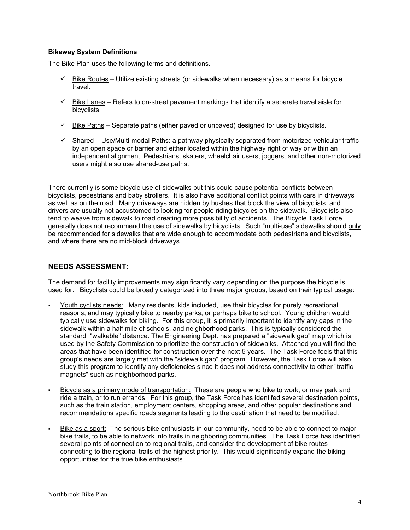#### **Bikeway System Definitions**

The Bike Plan uses the following terms and definitions.

- $\checkmark$  Bike Routes Utilize existing streets (or sidewalks when necessary) as a means for bicycle travel.
- $\checkmark$  Bike Lanes Refers to on-street pavement markings that identify a separate travel aisle for bicyclists.
- $\checkmark$  Bike Paths Separate paths (either paved or unpaved) designed for use by bicyclists.
- $\checkmark$  Shared Use/Multi-modal Paths: a pathway physically separated from motorized vehicular traffic by an open space or barrier and either located within the highway right of way or within an independent alignment. Pedestrians, skaters, wheelchair users, joggers, and other non-motorized users might also use shared-use paths.

There currently is some bicycle use of sidewalks but this could cause potential conflicts between bicyclists, pedestrians and baby strollers. It is also have additional conflict points with cars in driveways as well as on the road. Many driveways are hidden by bushes that block the view of bicyclists, and drivers are usually not accustomed to looking for people riding bicycles on the sidewalk. Bicyclists also tend to weave from sidewalk to road creating more possibility of accidents. The Bicycle Task Force generally does not recommend the use of sidewalks by bicyclists. Such "multi-use" sidewalks should only be recommended for sidewalks that are wide enough to accommodate both pedestrians and bicyclists, and where there are no mid-block driveways.

#### **NEEDS ASSESSMENT:**

The demand for facility improvements may significantly vary depending on the purpose the bicycle is used for. Bicyclists could be broadly categorized into three major groups, based on their typical usage:

- Youth cyclists needs: Many residents, kids included, use their bicycles for purely recreational reasons, and may typically bike to nearby parks, or perhaps bike to school. Young children would typically use sidewalks for biking. For this group, it is primarily important to identify any gaps in the sidewalk within a half mile of schools, and neighborhood parks. This is typically considered the standard "walkable" distance. The Engineering Dept. has prepared a "sidewalk gap" map which is used by the Safety Commission to prioritize the construction of sidewalks. Attached you will find the areas that have been identified for construction over the next 5 years. The Task Force feels that this group's needs are largely met with the "sidewalk gap" program. However, the Task Force will also study this program to identify any deficiencies since it does not address connectivity to other "traffic magnets" such as neighborhood parks.
- Bicycle as a primary mode of transportation: These are people who bike to work, or may park and ride a train, or to run errands. For this group, the Task Force has identifed several destination points, such as the train station, employment centers, shopping areas, and other popular destinations and recommendations specific roads segments leading to the destination that need to be modified.
- Bike as a sport: The serious bike enthusiasts in our community, need to be able to connect to major bike trails, to be able to network into trails in neighboring communities. The Task Force has identified several points of connection to regional trails, and consider the development of bike routes connecting to the regional trails of the highest priority. This would significantly expand the biking opportunities for the true bike enthusiasts.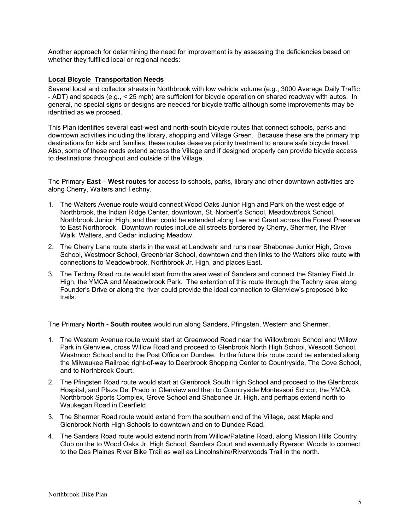Another approach for determining the need for improvement is by assessing the deficiencies based on whether they fulfilled local or regional needs:

#### **Local Bicycle Transportation Needs**

Several local and collector streets in Northbrook with low vehicle volume (e.g., 3000 Average Daily Traffic - ADT) and speeds (e.g., < 25 mph) are sufficient for bicycle operation on shared roadway with autos. In general, no special signs or designs are needed for bicycle traffic although some improvements may be identified as we proceed.

This Plan identifies several east-west and north-south bicycle routes that connect schools, parks and downtown activities including the library, shopping and Village Green. Because these are the primary trip destinations for kids and families, these routes deserve priority treatment to ensure safe bicycle travel. Also, some of these roads extend across the Village and if designed properly can provide bicycle access to destinations throughout and outside of the Village.

The Primary **East – West routes** for access to schools, parks, library and other downtown activities are along Cherry, Walters and Techny.

- 1. The Walters Avenue route would connect Wood Oaks Junior High and Park on the west edge of Northbrook, the Indian Ridge Center, downtown, St. Norbert's School, Meadowbrook School, Northbrook Junior High, and then could be extended along Lee and Grant across the Forest Preserve to East Northbrook. Downtown routes include all streets bordered by Cherry, Shermer, the River Walk, Walters, and Cedar including Meadow.
- 2. The Cherry Lane route starts in the west at Landwehr and runs near Shabonee Junior High, Grove School, Westmoor School, Greenbriar School, downtown and then links to the Walters bike route with connections to Meadowbrook, Northbrook Jr. High, and places East.
- 3. The Techny Road route would start from the area west of Sanders and connect the Stanley Field Jr. High, the YMCA and Meadowbrook Park. The extention of this route through the Techny area along Founder's Drive or along the river could provide the ideal connection to Glenview's proposed bike trails.

The Primary **North - South routes** would run along Sanders, Pfingsten, Western and Shermer.

- 1. The Western Avenue route would start at Greenwood Road near the Willowbrook School and Willow Park in Glenview, cross Willow Road and proceed to Glenbrook North High School, Wescott School, Westmoor School and to the Post Office on Dundee. In the future this route could be extended along the Milwaukee Railroad right-of-way to Deerbrook Shopping Center to Countryside, The Cove School, and to Northbrook Court.
- 2. The Pfingsten Road route would start at Glenbrook South High School and proceed to the Glenbrook Hospital, and Plaza Del Prado in Glenview and then to Countryside Montessori School, the YMCA, Northbrook Sports Complex, Grove School and Shabonee Jr. High, and perhaps extend north to Waukegan Road in Deerfield.
- 3. The Shermer Road route would extend from the southern end of the Village, past Maple and Glenbrook North High Schools to downtown and on to Dundee Road.
- 4. The Sanders Road route would extend north from Willow/Palatine Road, along Mission Hills Country Club on the to Wood Oaks Jr. High School, Sanders Court and eventually Ryerson Woods to connect to the Des Plaines River Bike Trail as well as Lincolnshire/Riverwoods Trail in the north.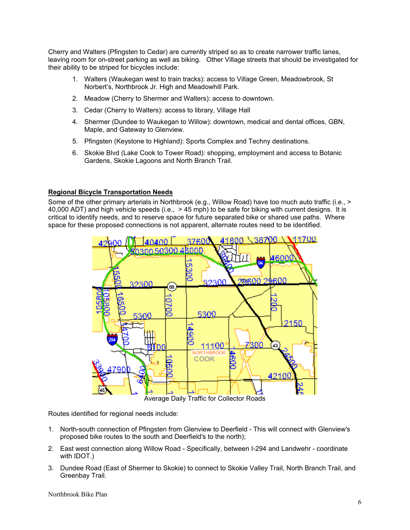Cherry and Walters (Pfingsten to Cedar) are currently striped so as to create narrower traffic lanes, leaving room for on-street parking as well as biking. Other Village streets that should be investigated for their ability to be striped for bicycles include:

- 1. Walters (Waukegan west to train tracks): access to Village Green, Meadowbrook, St Norbert's, Northbrook Jr. High and Meadowhill Park.
- 2. Meadow (Cherry to Shermer and Walters): access to downtown.
- 3. Cedar (Cherry to Walters): access to library, Village Hall
- 4. Shermer (Dundee to Waukegan to Willow): downtown, medical and dental offices, GBN, Maple, and Gateway to Glenview.
- 5. Pfingsten (Keystone to Highland): Sports Complex and Techny destinations.
- 6. Skokie Blvd (Lake Cook to Tower Road): shopping, employment and access to Botanic Gardens, Skokie Lagoons and North Branch Trail.

#### **Regional Bicycle Transportation Needs**

Some of the other primary arterials in Northbrook (e.g., Willow Road) have too much auto traffic (i.e., > 40,000 ADT) and high vehicle speeds (i.e., > 45 mph) to be safe for biking with current designs. It is critical to identify needs, and to reserve space for future separated bike or shared use paths. Where space for these proposed connections is not apparent, alternate routes need to be identified.



Routes identified for regional needs include:

- 1. North-south connection of Pfingsten from Glenview to Deerfield This will connect with Glenview's proposed bike routes to the south and Deerfield's to the north);
- 2. East west connection along Willow Road Specifically, between I-294 and Landwehr coordinate with IDOT.)
- 3. Dundee Road (East of Shermer to Skokie) to connect to Skokie Valley Trail, North Branch Trail, and Greenbay Trail.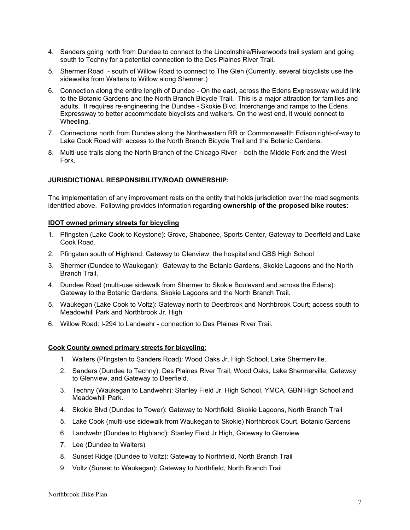- 4. Sanders going north from Dundee to connect to the Lincolnshire/Riverwoods trail system and going south to Techny for a potential connection to the Des Plaines River Trail.
- 5. Shermer Road south of Willow Road to connect to The Glen (Currently, several bicyclists use the sidewalks from Walters to Willow along Shermer.)
- 6. Connection along the entire length of Dundee On the east, across the Edens Expressway would link to the Botanic Gardens and the North Branch Bicycle Trail. This is a major attraction for families and adults. It requires re-engineering the Dundee - Skokie Blvd. Interchange and ramps to the Edens Expressway to better accommodate bicyclists and walkers. On the west end, it would connect to Wheeling.
- 7. Connections north from Dundee along the Northwestern RR or Commonwealth Edison right-of-way to Lake Cook Road with access to the North Branch Bicycle Trail and the Botanic Gardens.
- 8. Multi-use trails along the North Branch of the Chicago River both the Middle Fork and the West Fork.

#### **JURISDICTIONAL RESPONSIBILITY/ROAD OWNERSHIP:**

The implementation of any improvement rests on the entity that holds jurisdiction over the road segments identified above. Following provides information regarding **ownership of the proposed bike routes**:

#### **IDOT owned primary streets for bicycling**

- 1. Pfingsten (Lake Cook to Keystone): Grove, Shabonee, Sports Center, Gateway to Deerfield and Lake Cook Road.
- 2. Pfingsten south of Highland: Gateway to Glenview, the hospital and GBS High School
- 3. Shermer (Dundee to Waukegan): Gateway to the Botanic Gardens, Skokie Lagoons and the North Branch Trail.
- 4. Dundee Road (multi-use sidewalk from Shermer to Skokie Boulevard and across the Edens): Gateway to the Botanic Gardens, Skokie Lagoons and the North Branch Trail.
- 5. Waukegan (Lake Cook to Voltz): Gateway north to Deerbrook and Northbrook Court; access south to Meadowhill Park and Northbrook Jr. High
- 6. Willow Road: I-294 to Landwehr connection to Des Plaines River Trail.

#### **Cook County owned primary streets for bicycling**:

- 1. Walters (Pfingsten to Sanders Road): Wood Oaks Jr. High School, Lake Shermerville.
- 2. Sanders (Dundee to Techny): Des Plaines River Trail, Wood Oaks, Lake Shermerville, Gateway to Glenview, and Gateway to Deerfield.
- 3. Techny (Waukegan to Landwehr): Stanley Field Jr. High School, YMCA, GBN High School and Meadowhill Park.
- 4. Skokie Blvd (Dundee to Tower): Gateway to Northfield, Skokie Lagoons, North Branch Trail
- 5. Lake Cook (multi-use sidewalk from Waukegan to Skokie) Northbrook Court, Botanic Gardens
- 6. Landwehr (Dundee to Highland): Stanley Field Jr High, Gateway to Glenview
- 7. Lee (Dundee to Walters)
- 8. Sunset Ridge (Dundee to Voltz): Gateway to Northfield, North Branch Trail
- 9. Voltz (Sunset to Waukegan): Gateway to Northfield, North Branch Trail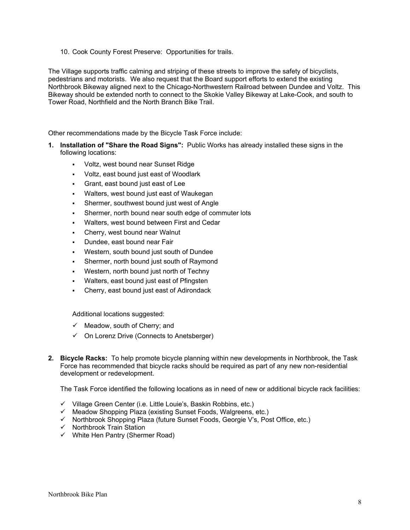10. Cook County Forest Preserve: Opportunities for trails.

The Village supports traffic calming and striping of these streets to improve the safety of bicyclists, pedestrians and motorists. We also request that the Board support efforts to extend the existing Northbrook Bikeway aligned next to the Chicago-Northwestern Railroad between Dundee and Voltz. This Bikeway should be extended north to connect to the Skokie Valley Bikeway at Lake-Cook, and south to Tower Road, Northfield and the North Branch Bike Trail.

Other recommendations made by the Bicycle Task Force include:

- **1. Installation of "Share the Road Signs":** Public Works has already installed these signs in the following locations:
	- Voltz, west bound near Sunset Ridge
	- Voltz, east bound just east of Woodlark
	- Grant, east bound just east of Lee
	- Walters, west bound just east of Waukegan
	- Shermer, southwest bound just west of Angle
	- Shermer, north bound near south edge of commuter lots
	- Walters, west bound between First and Cedar
	- Cherry, west bound near Walnut
	- Dundee, east bound near Fair
	- Western, south bound just south of Dundee
	- Shermer, north bound just south of Raymond
	- Western, north bound just north of Techny
	- Walters, east bound just east of Pfingsten
	- Cherry, east bound just east of Adirondack

Additional locations suggested:

- $\checkmark$  Meadow, south of Cherry; and
- $\checkmark$  On Lorenz Drive (Connects to Anetsberger)
- **2. Bicycle Racks:** To help promote bicycle planning within new developments in Northbrook, the Task Force has recommended that bicycle racks should be required as part of any new non-residential development or redevelopment.

The Task Force identified the following locations as in need of new or additional bicycle rack facilities:

- $\checkmark$  Village Green Center (i.e. Little Louie's, Baskin Robbins, etc.)
- $\checkmark$  Meadow Shopping Plaza (existing Sunset Foods, Walgreens, etc.)
- $\checkmark$  Northbrook Shopping Plaza (future Sunset Foods, Georgie V's, Post Office, etc.)
- $\checkmark$  Northbrook Train Station
- $\checkmark$  White Hen Pantry (Shermer Road)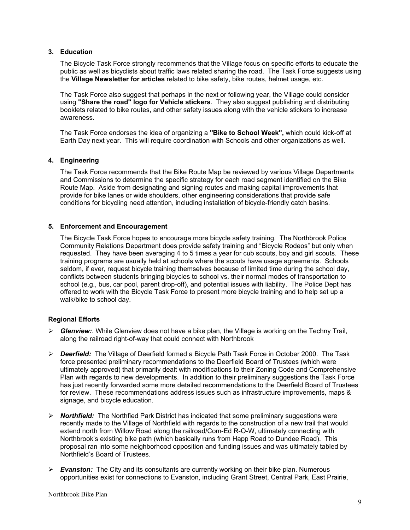#### **3. Education**

The Bicycle Task Force strongly recommends that the Village focus on specific efforts to educate the public as well as bicyclists about traffic laws related sharing the road. The Task Force suggests using the **Village Newsletter for articles** related to bike safety, bike routes, helmet usage, etc.

The Task Force also suggest that perhaps in the next or following year, the Village could consider using **"Share the road" logo for Vehicle stickers**. They also suggest publishing and distributing booklets related to bike routes, and other safety issues along with the vehicle stickers to increase awareness.

The Task Force endorses the idea of organizing a **"Bike to School Week",** which could kick-off at Earth Day next year. This will require coordination with Schools and other organizations as well.

#### **4. Engineering**

The Task Force recommends that the Bike Route Map be reviewed by various Village Departments and Commissions to determine the specific strategy for each road segment identified on the Bike Route Map. Aside from designating and signing routes and making capital improvements that provide for bike lanes or wide shoulders, other engineering considerations that provide safe conditions for bicycling need attention, including installation of bicycle-friendly catch basins.

#### **5. Enforcement and Encouragement**

The Bicycle Task Force hopes to encourage more bicycle safety training. The Northbrook Police Community Relations Department does provide safety training and "Bicycle Rodeos" but only when requested. They have been averaging 4 to 5 times a year for cub scouts, boy and girl scouts. These training programs are usually held at schools where the scouts have usage agreements. Schools seldom, if ever, request bicycle training themselves because of limited time during the school day, conflicts between students bringing bicycles to school vs. their normal modes of transportation to school (e.g., bus, car pool, parent drop-off), and potential issues with liability. The Police Dept has offered to work with the Bicycle Task Force to present more bicycle training and to help set up a walk/bike to school day.

#### **Regional Efforts**

- ¾ *Glenview:*. While Glenview does not have a bike plan, the Village is working on the Techny Trail, along the railroad right-of-way that could connect with Northbrook
- ¾ *Deerfield:* The Village of Deerfield formed a Bicycle Path Task Force in October 2000. The Task force presented preliminary recommendations to the Deerfield Board of Trustees (which were ultimately approved) that primarily dealt with modifications to their Zoning Code and Comprehensive Plan with regards to new developments. In addition to their preliminary suggestions the Task Force has just recently forwarded some more detailed recommendations to the Deerfield Board of Trustees for review. These recommendations address issues such as infrastructure improvements, maps & signage, and bicycle education.
- ¾ *Northfield:* The Northfied Park District has indicated that some preliminary suggestions were recently made to the Village of Northfield with regards to the construction of a new trail that would extend north from Willow Road along the railroad/Com-Ed R-O-W, ultimately connecting with Northbrook's existing bike path (which basically runs from Happ Road to Dundee Road). This proposal ran into some neighborhood opposition and funding issues and was ultimately tabled by Northfield's Board of Trustees.
- ¾ *Evanston:* The City and its consultants are currently working on their bike plan. Numerous opportunities exist for connections to Evanston, including Grant Street, Central Park, East Prairie,